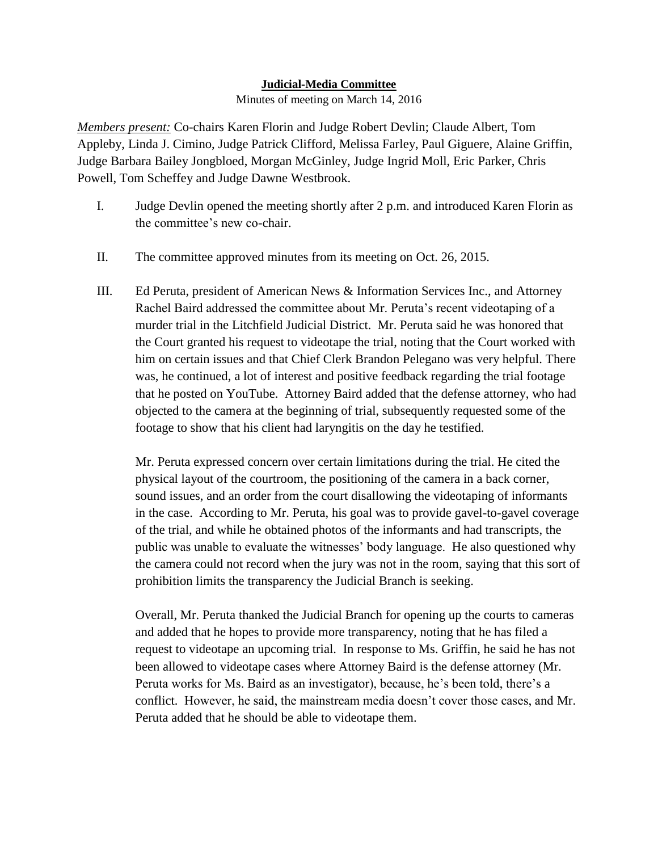## **Judicial-Media Committee**

Minutes of meeting on March 14, 2016

*Members present:* Co-chairs Karen Florin and Judge Robert Devlin; Claude Albert, Tom Appleby, Linda J. Cimino, Judge Patrick Clifford, Melissa Farley, Paul Giguere, Alaine Griffin, Judge Barbara Bailey Jongbloed, Morgan McGinley, Judge Ingrid Moll, Eric Parker, Chris Powell, Tom Scheffey and Judge Dawne Westbrook.

- I. Judge Devlin opened the meeting shortly after 2 p.m. and introduced Karen Florin as the committee's new co-chair.
- II. The committee approved minutes from its meeting on Oct. 26, 2015.
- III. Ed Peruta, president of American News & Information Services Inc., and Attorney Rachel Baird addressed the committee about Mr. Peruta's recent videotaping of a murder trial in the Litchfield Judicial District. Mr. Peruta said he was honored that the Court granted his request to videotape the trial, noting that the Court worked with him on certain issues and that Chief Clerk Brandon Pelegano was very helpful. There was, he continued, a lot of interest and positive feedback regarding the trial footage that he posted on YouTube. Attorney Baird added that the defense attorney, who had objected to the camera at the beginning of trial, subsequently requested some of the footage to show that his client had laryngitis on the day he testified.

Mr. Peruta expressed concern over certain limitations during the trial. He cited the physical layout of the courtroom, the positioning of the camera in a back corner, sound issues, and an order from the court disallowing the videotaping of informants in the case. According to Mr. Peruta, his goal was to provide gavel-to-gavel coverage of the trial, and while he obtained photos of the informants and had transcripts, the public was unable to evaluate the witnesses' body language. He also questioned why the camera could not record when the jury was not in the room, saying that this sort of prohibition limits the transparency the Judicial Branch is seeking.

Overall, Mr. Peruta thanked the Judicial Branch for opening up the courts to cameras and added that he hopes to provide more transparency, noting that he has filed a request to videotape an upcoming trial. In response to Ms. Griffin, he said he has not been allowed to videotape cases where Attorney Baird is the defense attorney (Mr. Peruta works for Ms. Baird as an investigator), because, he's been told, there's a conflict. However, he said, the mainstream media doesn't cover those cases, and Mr. Peruta added that he should be able to videotape them.